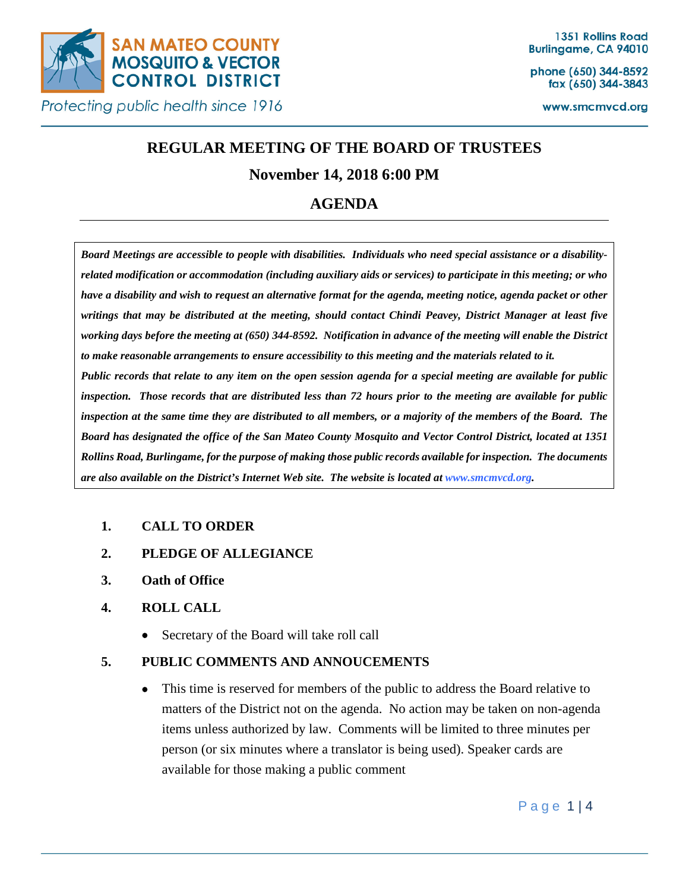

phone (650) 344-8592 fax (650) 344-3843

www.smcmvcd.org

# **REGULAR MEETING OF THE BOARD OF TRUSTEES**

## **November 14, 2018 6:00 PM**

## **AGENDA**

*Board Meetings are accessible to people with disabilities. Individuals who need special assistance or a disabilityrelated modification or accommodation (including auxiliary aids or services) to participate in this meeting; or who have a disability and wish to request an alternative format for the agenda, meeting notice, agenda packet or other writings that may be distributed at the meeting, should contact Chindi Peavey, District Manager at least five working days before the meeting at (650) 344-8592. Notification in advance of the meeting will enable the District to make reasonable arrangements to ensure accessibility to this meeting and the materials related to it. Public records that relate to any item on the open session agenda for a special meeting are available for public inspection. Those records that are distributed less than 72 hours prior to the meeting are available for public inspection at the same time they are distributed to all members, or a majority of the members of the Board. The Board has designated the office of the San Mateo County Mosquito and Vector Control District, located at 1351 Rollins Road, Burlingame, for the purpose of making those public records available for inspection. The documents are also available on the District's Internet Web site. The website is located at www.smcmvcd.org.* 

## **1. CALL TO ORDER**

- **2. PLEDGE OF ALLEGIANCE**
- **3. Oath of Office**

## **4. ROLL CALL**

• Secretary of the Board will take roll call

## **5. PUBLIC COMMENTS AND ANNOUCEMENTS**

• This time is reserved for members of the public to address the Board relative to matters of the District not on the agenda. No action may be taken on non-agenda items unless authorized by law. Comments will be limited to three minutes per person (or six minutes where a translator is being used). Speaker cards are available for those making a public comment

Page 1 | 4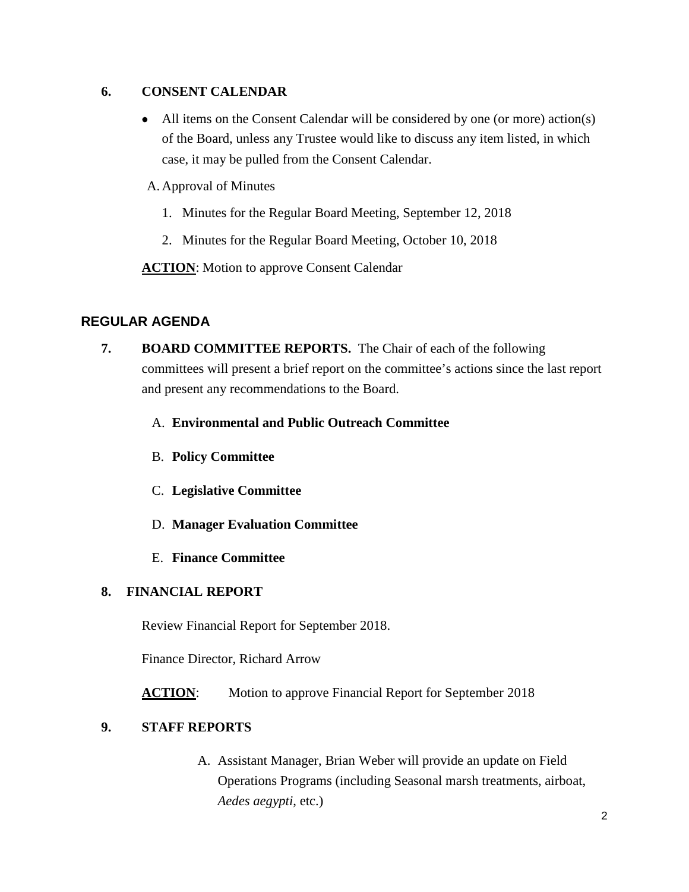### **6. CONSENT CALENDAR**

• All items on the Consent Calendar will be considered by one (or more) action(s) of the Board, unless any Trustee would like to discuss any item listed, in which case, it may be pulled from the Consent Calendar.

A. Approval of Minutes

- 1. Minutes for the Regular Board Meeting, September 12, 2018
- 2. Minutes for the Regular Board Meeting, October 10, 2018

**ACTION:** Motion to approve Consent Calendar

## **REGULAR AGENDA**

- **7. BOARD COMMITTEE REPORTS.** The Chair of each of the following committees will present a brief report on the committee's actions since the last report and present any recommendations to the Board.
	- A. **Environmental and Public Outreach Committee**
	- B. **Policy Committee**
	- C. **Legislative Committee**
	- D. **Manager Evaluation Committee**
	- E. **Finance Committee**

## **8. FINANCIAL REPORT**

Review Financial Report for September 2018.

Finance Director, Richard Arrow

**ACTION:** Motion to approve Financial Report for September 2018

## **9. STAFF REPORTS**

A. Assistant Manager, Brian Weber will provide an update on Field Operations Programs (including Seasonal marsh treatments, airboat, *Aedes aegypti*, etc.)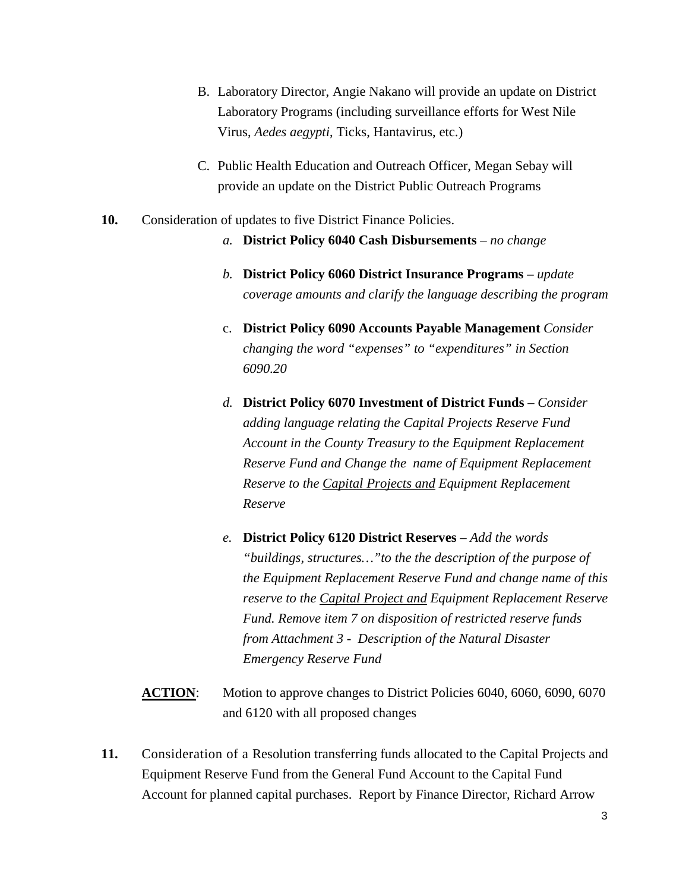- B. Laboratory Director, Angie Nakano will provide an update on District Laboratory Programs (including surveillance efforts for West Nile Virus, *Aedes aegypti*, Ticks, Hantavirus, etc.)
- C. Public Health Education and Outreach Officer, Megan Sebay will provide an update on the District Public Outreach Programs
- **10.** Consideration of updates to five District Finance Policies.
	- *a.* **District Policy 6040 Cash Disbursements** *– no change*
	- *b.* **District Policy 6060 District Insurance Programs –** *update coverage amounts and clarify the language describing the program*
	- c. **District Policy 6090 Accounts Payable Management** *Consider changing the word "expenses" to "expenditures" in Section 6090.20*
	- *d.* **District Policy 6070 Investment of District Funds** *– Consider adding language relating the Capital Projects Reserve Fund Account in the County Treasury to the Equipment Replacement Reserve Fund and Change the name of Equipment Replacement Reserve to the Capital Projects and Equipment Replacement Reserve*
	- *e.* **District Policy 6120 District Reserves** *Add the words "buildings, structures…"to the the description of the purpose of the Equipment Replacement Reserve Fund and change name of this reserve to the Capital Project and Equipment Replacement Reserve Fund. Remove item 7 on disposition of restricted reserve funds from Attachment 3 - Description of the Natural Disaster Emergency Reserve Fund*
	- **ACTION:** Motion to approve changes to District Policies 6040, 6060, 6090, 6070 and 6120 with all proposed changes
- **11.** Consideration of a Resolution transferring funds allocated to the Capital Projects and Equipment Reserve Fund from the General Fund Account to the Capital Fund Account for planned capital purchases. Report by Finance Director, Richard Arrow